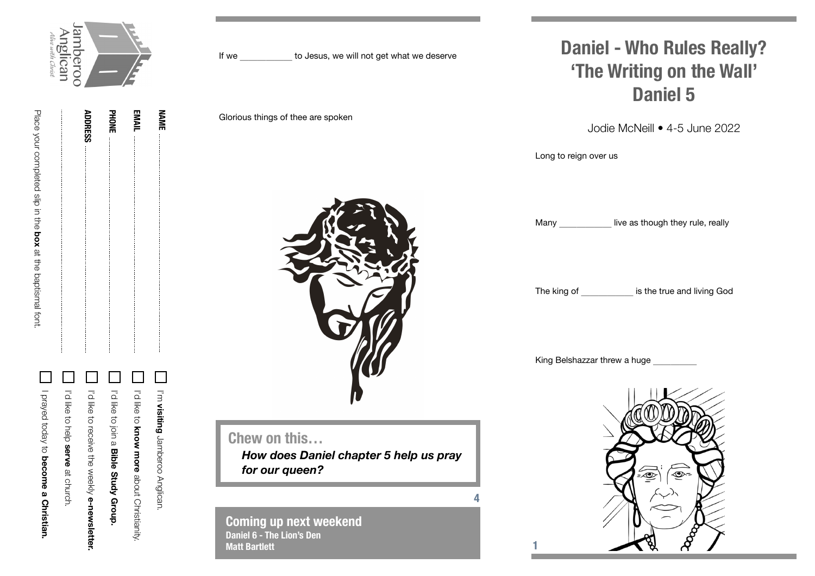

**EMAIL**

**NAME**

| I Prayed today to become a Christian. | I'd like to help serve at church. | I'd like to receive the weekly <b>e-newsletter</b> | I'd like to bin a Bible Study Grorp. | In the to know more about Orivinality. | I'm visiting Jamberoo Anglican. |
|---------------------------------------|-----------------------------------|----------------------------------------------------|--------------------------------------|----------------------------------------|---------------------------------|
|                                       |                                   |                                                    |                                      |                                        |                                 |



**Coming up next weekend Daniel 6 - The Lion's Den Matt Bartlett**

## **Daniel - Who Rules Really? 'The Writing on the Wall' Daniel 5**

Jodie McNeill • 4-5 June 2022

Long to reign over us

Many live as though they rule, really

The king of **the set of the true and living God** 

King Belshazzar threw a huge

**4**

**1**